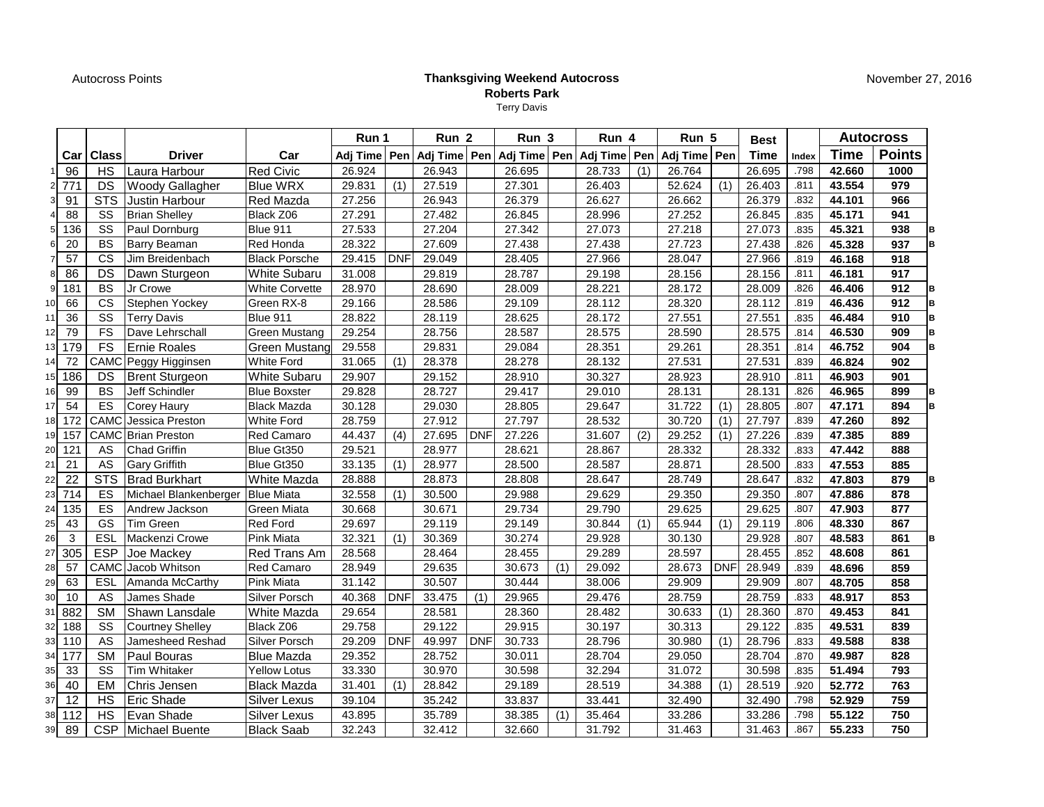Autocross Points

## **Thanksgiving Weekend AutocrossRoberts Park**Terry Davis

|                |                 |                        |                                    |                      | Run 1    |            | Run <sub>2</sub>     |            | Run 3        |     | Run 4        |     | Run 5        |            | <b>Best</b> |       | <b>Autocross</b> |               |
|----------------|-----------------|------------------------|------------------------------------|----------------------|----------|------------|----------------------|------------|--------------|-----|--------------|-----|--------------|------------|-------------|-------|------------------|---------------|
|                | Car             | <b>Class</b>           | <b>Driver</b>                      | Car                  | Adj Time |            | Pen   Adj Time   Pen |            | Adj Time Pen |     | Adj Time Pen |     | Adj Time Pen |            | <b>Time</b> | Index | <b>Time</b>      | <b>Points</b> |
|                | 96              | <b>HS</b>              | Laura Harbour                      | <b>Red Civic</b>     | 26.924   |            | 26.943               |            | 26.695       |     | 28.733       | (1) | 26.764       |            | 26.695      | .798  | 42.660           | 1000          |
| $\overline{2}$ | 771             | DS                     | <b>Woody Gallagher</b>             | <b>Blue WRX</b>      | 29.831   | (1)        | 27.519               |            | 27.301       |     | 26.403       |     | 52.624       | (1)        | 26.403      | .811  | 43.554           | 979           |
| 3              | 91              | <b>STS</b>             | <b>Justin Harbour</b>              | Red Mazda            | 27.256   |            | 26.943               |            | 26.379       |     | 26.627       |     | 26.662       |            | 26.379      | .832  | 44.101           | 966           |
|                | 88              | SS                     | <b>Brian Shelley</b>               | Black Z06            | 27.291   |            | 27.482               |            | 26.845       |     | 28.996       |     | 27.252       |            | 26.845      | .835  | 45.171           | 941           |
| 5              | 136             | SS                     | Paul Dornburg                      | Blue 911             | 27.533   |            | 27.204               |            | 27.342       |     | 27.073       |     | 27.218       |            | 27.073      | .835  | 45.321           | 938           |
| 6              | $\overline{20}$ | <b>BS</b>              | <b>Barry Beaman</b>                | Red Honda            | 28.322   |            | 27.609               |            | 27.438       |     | 27.438       |     | 27.723       |            | 27.438      | .826  | 45.328           | 937           |
| $\overline{7}$ | 57              | <b>CS</b>              | Jim Breidenbach                    | <b>Black Porsche</b> | 29.415   | <b>DNF</b> | 29.049               |            | 28.405       |     | 27.966       |     | 28.047       |            | 27.966      | .819  | 46.168           | 918           |
| 8              | 86              | DS                     | Dawn Sturgeon                      | <b>White Subaru</b>  | 31.008   |            | 29.819               |            | 28.787       |     | 29.198       |     | 28.156       |            | 28.156      | .811  | 46.181           | 917           |
| 9              | 181             | <b>BS</b>              | Jr Crowe                           | White Corvette       | 28.970   |            | 28.690               |            | 28.009       |     | 28.221       |     | 28.172       |            | 28.009      | .826  | 46.406           | 912           |
| 10             | 66              | $\overline{\text{cs}}$ | Stephen Yockey                     | Green RX-8           | 29.166   |            | 28.586               |            | 29.109       |     | 28.112       |     | 28.320       |            | 28.112      | .819  | 46.436           | 912           |
| 11             | 36              | SS                     | <b>Terry Davis</b>                 | Blue 911             | 28.822   |            | 28.119               |            | 28.625       |     | 28.172       |     | 27.551       |            | 27.551      | .835  | 46.484           | 910           |
| 12             | 79              | <b>FS</b>              | Dave Lehrschall                    | Green Mustang        | 29.254   |            | 28.756               |            | 28.587       |     | 28.575       |     | 28.590       |            | 28.575      | .814  | 46.530           | 909           |
| 13             | 179             | <b>FS</b>              | Ernie Roales                       | Green Mustang        | 29.558   |            | 29.831               |            | 29.084       |     | 28.351       |     | 29.261       |            | 28.351      | .814  | 46.752           | 904           |
| 14             | $\overline{72}$ |                        | CAMC Peggy Higginsen               | <b>White Ford</b>    | 31.065   | (1)        | 28.378               |            | 28.278       |     | 28.132       |     | 27.531       |            | 27.531      | .839  | 46.824           | 902           |
| 15             | 186             | DS                     | <b>Brent Sturgeon</b>              | White Subaru         | 29.907   |            | 29.152               |            | 28.910       |     | 30.327       |     | 28.923       |            | 28.910      | .811  | 46.903           | 901           |
| 16             | 99              | <b>BS</b>              | Jeff Schindler                     | <b>Blue Boxster</b>  | 29.828   |            | 28.727               |            | 29.417       |     | 29.010       |     | 28.131       |            | 28.131      | .826  | 46.965           | 899           |
| 17             | 54              | ES                     | <b>Corey Haury</b>                 | <b>Black Mazda</b>   | 30.128   |            | 29.030               |            | 28.805       |     | 29.647       |     | 31.722       | (1)        | 28.805      | .807  | 47.171           | 894           |
| 18             | 172             | CAMC                   | Jessica Preston                    | White Ford           | 28.759   |            | 27.912               |            | 27.797       |     | 28.532       |     | 30.720       | (1)        | 27.797      | .839  | 47.260           | 892           |
| 19             | 157             |                        | <b>CAMC</b> Brian Preston          | Red Camaro           | 44.437   | (4)        | 27.695               | <b>DNF</b> | 27.226       |     | 31.607       | (2) | 29.252       | (1)        | 27.226      | .839  | 47.385           | 889           |
| 20             | 121             | AS                     | <b>Chad Griffin</b>                | Blue Gt350           | 29.521   |            | 28.977               |            | 28.621       |     | 28.867       |     | 28.332       |            | 28.332      | .833  | 47.442           | 888           |
| 21             | 21              | AS                     | <b>Gary Griffith</b>               | Blue Gt350           | 33.135   | (1)        | 28.977               |            | 28.500       |     | 28.587       |     | 28.871       |            | 28.500      | .833  | 47.553           | 885           |
| 22             | 22              | <b>STS</b>             | <b>Brad Burkhart</b>               | White Mazda          | 28.888   |            | 28.873               |            | 28.808       |     | 28.647       |     | 28.749       |            | 28.647      | .832  | 47.803           | 879           |
| 23             | 714             | ES                     | Michael Blankenberger   Blue Miata |                      | 32.558   | (1)        | 30.500               |            | 29.988       |     | 29.629       |     | 29.350       |            | 29.350      | .807  | 47.886           | 878           |
| 24             | 135             | ES                     | Andrew Jackson                     | Green Miata          | 30.668   |            | 30.671               |            | 29.734       |     | 29.790       |     | 29.625       |            | 29.625      | .807  | 47.903           | 877           |
| 25             | 43              | GS                     | Tim Green                          | <b>Red Ford</b>      | 29.697   |            | 29.119               |            | 29.149       |     | 30.844       | (1) | 65.944       | (1)        | 29.119      | .806  | 48.330           | 867           |
| 26             | 3               | ESL                    | Mackenzi Crowe                     | <b>Pink Miata</b>    | 32.321   | (1)        | 30.369               |            | 30.274       |     | 29.928       |     | 30.130       |            | 29.928      | .807  | 48.583           | 861           |
| 27             | 305             | <b>ESP</b>             | Joe Mackey                         | Red Trans Am         | 28.568   |            | 28.464               |            | 28.455       |     | 29.289       |     | 28.597       |            | 28.455      | .852  | 48.608           | 861           |
| 28             | 57              | CAMC                   | Jacob Whitson                      | Red Camaro           | 28.949   |            | 29.635               |            | 30.673       | (1) | 29.092       |     | 28.673       | <b>DNF</b> | 28.949      | .839  | 48.696           | 859           |
| 29             | 63              | ESL                    | Amanda McCarthy                    | <b>Pink Miata</b>    | 31.142   |            | 30.507               |            | 30.444       |     | 38.006       |     | 29.909       |            | 29.909      | .807  | 48.705           | 858           |
| 30             | 10              | AS                     | James Shade                        | <b>Silver Porsch</b> | 40.368   | <b>DNF</b> | 33.475               | (1)        | 29.965       |     | 29.476       |     | 28.759       |            | 28.759      | .833  | 48.917           | 853           |
| 31             | 882             | <b>SM</b>              | Shawn Lansdale                     | White Mazda          | 29.654   |            | 28.581               |            | 28.360       |     | 28.482       |     | 30.633       | (1)        | 28.360      | .870  | 49.453           | 841           |
| 32             | 188             | SS                     | <b>Courtney Shelley</b>            | Black Z06            | 29.758   |            | 29.122               |            | 29.915       |     | 30.197       |     | 30.313       |            | 29.122      | .835  | 49.531           | 839           |
| 33             | 110             | AS                     | Jamesheed Reshad                   | Silver Porsch        | 29.209   | <b>DNF</b> | 49.997               | <b>DNF</b> | 30.733       |     | 28.796       |     | 30.980       | (1)        | 28.796      | .833  | 49.588           | 838           |
| 34             | 177             | <b>SM</b>              | Paul Bouras                        | <b>Blue Mazda</b>    | 29.352   |            | 28.752               |            | 30.011       |     | 28.704       |     | 29.050       |            | 28.704      | .870  | 49.987           | 828           |
| 35             | 33              | SS                     | <b>Tim Whitaker</b>                | <b>Yellow Lotus</b>  | 33.330   |            | 30.970               |            | 30.598       |     | 32.294       |     | 31.072       |            | 30.598      | .835  | 51.494           | 793           |
| 36             | 40              | EM                     | Chris Jensen                       | <b>Black Mazda</b>   | 31.401   | (1)        | 28.842               |            | 29.189       |     | 28.519       |     | 34.388       | (1)        | 28.519      | .920  | 52.772           | 763           |
| 37             | 12              | <b>HS</b>              | Eric Shade                         | Silver Lexus         | 39.104   |            | 35.242               |            | 33.837       |     | 33.441       |     | 32.490       |            | 32.490      | .798  | 52.929           | 759           |
| 38             | 112             | <b>HS</b>              | Evan Shade                         | Silver Lexus         | 43.895   |            | 35.789               |            | 38.385       | (1) | 35.464       |     | 33.286       |            | 33.286      | .798  | 55.122           | 750           |
| 39             | 89              | <b>CSP</b>             | Michael Buente                     | <b>Black Saab</b>    | 32.243   |            | 32.412               |            | 32.660       |     | 31.792       |     | 31.463       |            | 31.463      | .867  | 55.233           | 750           |